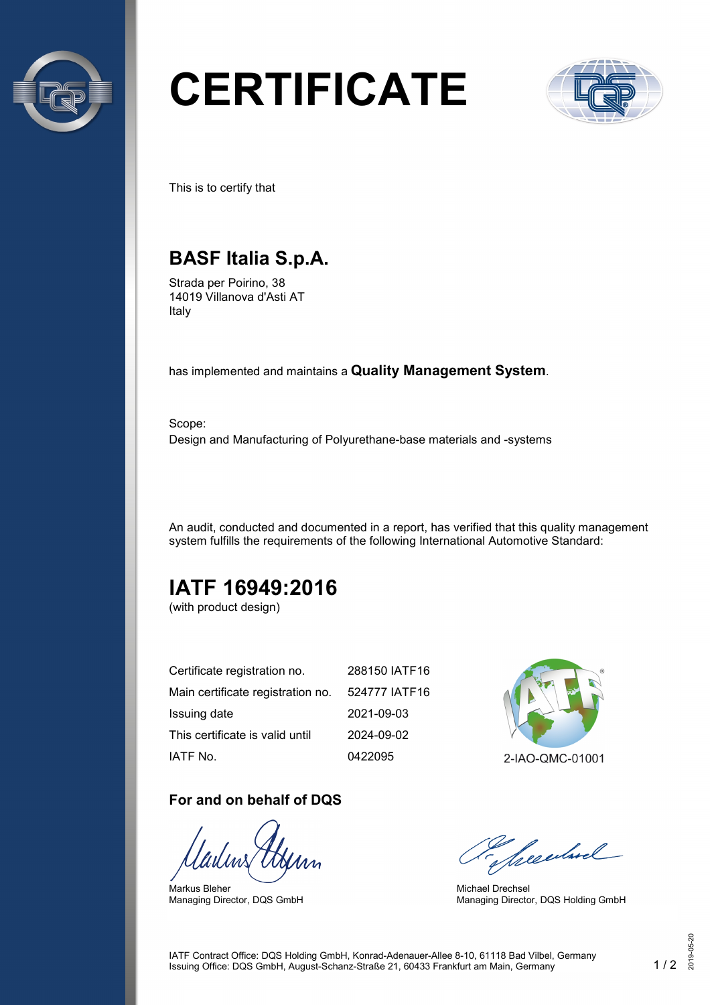

# **CERTIFICATE**



This is to certify that

## **BASF Italia S.p.A.**

Strada per Poirino, 38 14019 Villanova d'Asti AT Italy

has implemented and maintains a **Quality Management System**.

Scope: Design and Manufacturing of Polyurethane-base materials and -systems

An audit, conducted and documented in a report, has verified that this quality management system fulfills the requirements of the following International Automotive Standard:

## **IATF 16949:2016**

(with product design)

| Certificate registration no.      | 288150 IATF16 |
|-----------------------------------|---------------|
| Main certificate registration no. | 524777 IATF16 |
| Issuing date                      | 2021-09-03    |
| This certificate is valid until   | 2024-09-02    |
| IATF No.                          | 0422095       |

#### **For and on behalf of DQS**

Markus Bleher Managing Director, DQS GmbH



2-IAO-QMC-01001

Seculard

Michael Drechsel Managing Director, DQS Holding GmbH

IATF Contract Office: DQS Holding GmbH, Konrad-Adenauer-Allee 8-10, 61118 Bad Vilbel, Germany Issuing Office: DQS GmbH, August-Schanz-Straße 21, 60433 Frankfurt am Main, Germany 1 / 2